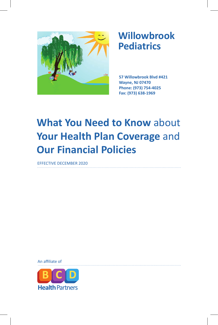

# **Willowbrook Pediatrics**

**57 Willowbrook Blvd #421 Wayne, NJ 07470 Phone: (973) 754-4025 Fax: (973) 638-1969**

# **What You Need to Know** about Your Health Plan Coverage and **Our Financial Policies**

EFFECTIVE DECEMBER 2020

An affiliate of

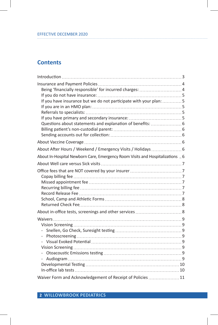# EFFECTIVE DECEMBER 2020

## **Contents**

I

| Being 'financially responsible' for incurred charges: 4<br>If you have insurance but we do not participate with your plan: 5<br>Questions about statements and explanation of benefits:  . 6 |  |
|----------------------------------------------------------------------------------------------------------------------------------------------------------------------------------------------|--|
|                                                                                                                                                                                              |  |
| About After Hours / Weekend / Emergency Visits / Holidays  6                                                                                                                                 |  |
| About In-Hospital Newborn Care, Emergency Room Visits and Hospitalizations  6                                                                                                                |  |
|                                                                                                                                                                                              |  |
|                                                                                                                                                                                              |  |
|                                                                                                                                                                                              |  |
|                                                                                                                                                                                              |  |
| Waiver Form and Acknowledgement of Receipt of Policies  11                                                                                                                                   |  |

**2 WILLOWBROOK PEDIATRICS**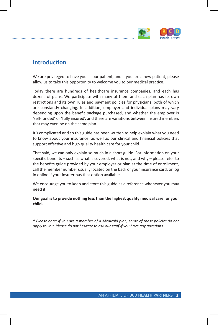

### **Introduction**

We are privileged to have you as our patient, and if you are a new patient, please allow us to take this opportunity to welcome you to our medical practice.

Today there are hundreds of healthcare insurance companies, and each has dozens of plans. We participate with many of them and each plan has its own restrictions and its own rules and payment policies for physicians, both of which are constantly changing. In addition, employer and individual plans may vary depending upon the benefit package purchased, and whether the employer is 'self-funded' or 'fully insured', and there are variations between insured members that may even be on the same plan!

It's complicated and so this guide has been written to help explain what you need to know about your insurance, as well as our clinical and financial policies that support effective and high quality health care for your child.

That said, we can only explain so much in a short guide. For information on your specific benefits – such as what is covered, what is not, and why – please refer to the benefits guide provided by your employer or plan at the time of enrollment, call the member number usually located on the back of your insurance card, or log in online if your insurer has that option available.

We encourage you to keep and store this guide as a reference whenever you may need it.

**Our goal is to provide nothing less than the highest quality medical care for your child.** 

*\* Please note: if you are a member of a Medicaid plan, some of these policies do not apply to you. Please do not hesitate to ask our staff if you have any questions.*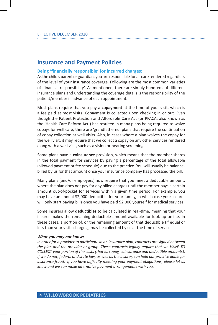### **Insurance and Payment Policies**

#### **Being 'financially responsible' for incurred charges:**

As the child's parent or guardian, you are responsible for all care rendered regardless of the level of your insurance coverage. Following are the most common varieties of 'financial responsibility'. As mentioned, there are simply hundreds of different insurance plans and understanding the coverage details is the responsibility of the patient/member in advance of each appointment.

Most plans require that you pay a **copayment** at the time of your visit, which is a fee paid at most visits. Copayment is collected upon checking in or out. Even though the Patient Protection and Affordable Care Act (or PPACA, also known as the 'Health Care Reform Act') has resulted in many plans being required to waive copays for well care, there are 'grandfathered' plans that require the continuation of copay collection at well visits. Also, in cases where a plan waives the copay for the well visit, it may require that we collect a copay on any other services rendered along with a well visit, such as a vision or hearing screening.

Some plans have a **coinsurance** provision, which means that the member shares in the total payment for services by paying a percentage of the total allowable (allowed payment or fee schedule) due to the practice. You will usually be balancebilled by us for that amount once your insurance company has processed the bill.

Many plans (and/or employers) now require that you meet a deductible amount, where the plan does not pay for any billed charges until the member pays a certain amount out-of-pocket for services within a given time period. For example, you may have an annual \$2,000 deductible for your family, in which case your insurer will only start paying bills once you have paid \$2,000 yourself for medical services.

Some insurers allow **deductibles** to be calculated in real-time, meaning that your insurer makes the remaining deductible amount available for look up online. In these cases, a portion of, or the remaining amount of that deductible (if equal or less than your visits charges), may be collected by us at the time of service.

#### *What you may not know:*

*In order for a provider to participate in an insurance plan, contracts are signed between the plan and the provider or group. These contracts legally require that we HAVE TO COLLECT your portion of the costs (that is, copay, coinsurance and deductible amounts). If we do not, federal and state law, as well as the insurer, can hold our practice liable for insurance fraud. If you have difficulty meeting your payment obligations, please let us know and we can make alternative payment arrangements with you.*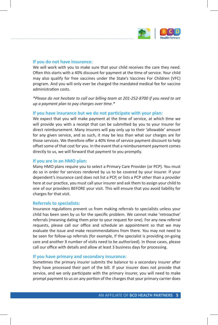

### **If you do not have insurance:**

We will work with you to make sure that your child receives the care they need. Often this starts with a 40% discount for payment at the time of service. Your child may also qualify for free vaccines under the State's Vaccines For Children (VFC) program. And you will only ever be charged the mandated medical fee for vaccine administration costs.

*\*Please do not hesitate to call our billing team at 201-252-8700 if you need to set up a payment plan to pay charges over time.\**

### **If you have insurance but we do not participate with your plan:**

We expect that you will make payment at the time of service, at which time we will provide you with a receipt that can be submitted by you to your insurer for direct reimbursement. Many insurers will pay only up to their 'allowable' amount for any given service, and as such, it may be less than what our charges are for those services. We therefore offer a 40% time of service payment discount to help offset some of that cost for you. In the event that a reimbursement payment comes directly to us, we will forward that payment to you promptly.

#### **If you are in an HMO plan:**

Many HMO plans require you to select a Primary Care Provider (or PCP). You must do so in order for services rendered by us to be covered by your insurer. If your dependent's insurance card does not list a PCP, or lists a PCP other than a provider here at our practice, you must call your insurer and ask them to assign your child to one of our providers BEFORE your visit. This will ensure that you avoid liability for charges for that visit.

#### **Referrals to specialists:**

Insurance regulations prevent us from making referrals to specialists unless your child has been seen by us for the specific problem. We cannot make 'retroactive' referrals (meaning dating them prior to your request for one). For any new referral requests, please call our office and schedule an appointment so that we may evaluate the issue and make recommendations from there. You may not need to be seen for follow-up referrals (for example, if the specialist is providing on-going care and another X number of visits need to be authorized). In those cases, please call our office with details and allow at least 3 business days for processing.

#### **If you have primary and secondary insurance:**

Sometimes the primary insurer submits the balance to a secondary insurer after they have processed their part of the bill. If your insurer does not provide that service, and we only participate with the primary insurer, you will need to make prompt payment to us on any portion of the charges that your primary carrier does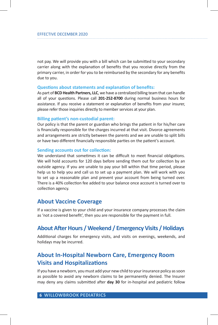not pay. We will provide you with a bill which can be submitted to your secondary carrier along with the explanation of benefits that you receive directly from the primary carrier, in order for you to be reimbursed by the secondary for any benefits due to you.

### **Questions about statements and explanation of benefits:**

As part of **BCD Health Partners, LLC**, we have a centralized billing team that can handle all of your questions. Please call **201-252-8700** during normal business hours for assistance. If you receive a statement or explanation of benefits from your insurer, please refer those inquiries directly to member services at your plan.

### **Billing patient's non-custodial parent:**

Our policy is that the parent or guardian who brings the patient in for his/her care is financially responsible for the charges incurred at that visit. Divorce agreements and arrangements are strictly between the parents and we are unable to split bills or have two different financially responsible parties on the patient's account.

### **Sending accounts out for collection:**

We understand that sometimes it can be difficult to meet financial obligations. We will hold accounts for 120 days before sending them out for collection by an outside agency. If you are unable to pay your bill within that time period, please help us to help you and call us to set up a payment plan. We will work with you to set up a reasonable plan and prevent your account from being turned over. There is a 40% collection fee added to your balance once account is turned over to collection agency.

### **About Vaccine Coverage**

If a vaccine is given to your child and your insurance company processes the claim as 'not a covered benefit', then you are responsible for the payment in full.

### **About After Hours / Weekend / Emergency Visits / Holidays**

Additional charges for emergency visits, and visits on evenings, weekends, and holidays may be incurred.

### **About In-Hospital Newborn Care, Emergency Room Visits and Hospitalizations**

If you have a newborn, you must add your new child to your insurance policy as soon as possible to avoid any newborn claims to be permanently denied. The Insurer may deny any claims submitted after **day 30** for in-hospital and pediatric follow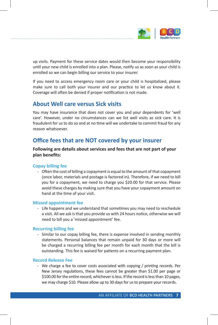

up visits. Payment for these service dates would then become your responsibility until your new child is enrolled into a plan. Please, notify us as soon as your child is enrolled so we can begin billing our service to your insurer.

If you need to access emergency room care or your child is hospitalized, please make sure to call both your insurer and our practice to let us know about it. Coverage will often be denied if proper notification is not made.

### **About Well care versus Sick visits**

You may have insurance that does not cover you and your dependents for 'well care'. However, under no circumstances can we list well visits as sick care. It is fraudulent for us to do so and at no time will we undertake to commit fraud for any reason whatsoever.

### **Office fees that are NOT covered by your insurer**

**Following are details about services and fees that are not part of your plan benefits:**

### **Copay billing fee**

- Often the cost of billing a copayment is equal to the amount of that copayment (once labor, materials and postage is factored in). Therefore, if we need to bill you for a copayment, we need to charge you \$20.00 for that service. Please avoid these charges by making sure that you have your copayment amount on hand at the time of your visit.

### **Missed appointment fee**

- Life happens and we understand that sometimes you may need to reschedule a visit. All we ask is that you provide us with 24 hours notice, otherwise we will need to bill you a 'missed appointment' fee.

### **Recurring billing fee**

- Similar to our copay billing fee, there is expense involved in sending monthly statements. Personal balances that remain unpaid for 30 days or more will be charged a recurring billing fee per month for each month that the bill is outstanding. This fee is waived for patients on a recurring payment plan.

### **Record Release Fee**

- We charge a fee to cover costs associated with copying / printing records. Per New Jersey regulations, these fees cannot be greater than \$1.00 per page or \$100.00 for the entire record, whichever is less. If the record is less than 10 pages, we may charge \$10. Please allow up to 30 days for us to prepare your records.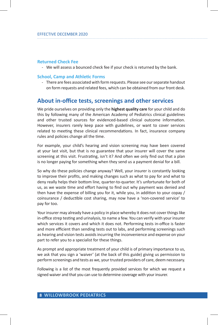### **Returned Check Fee**

- We will assess a bounced check fee if your check is returned by the bank.

### **School, Camp and Athletic Forms**

- There are fees associated with form requests. Please see our separate handout on form requests and related fees, which can be obtained from our front desk.

### **About in-office tests, screenings and other services**

We pride ourselves on providing only the **highest quality care** for your child and do this by following many of the American Academy of Pediatrics clinical guidelines and other trusted sources for evidenced-based clinical outcome information. However, insurers rarely keep pace with guidelines, or want to cover services related to meeting these clinical recommendations. In fact, insurance company rules and policies change all the time.

For example, your child's hearing and vision screening may have been covered at your last visit, but that is no guarantee that your insurer will cover the same screening at this visit. Frustrating, isn't it? And often we only find out that a plan is no longer paying for something when they send us a payment denial for a bill.

So why do these policies change anyway? Well, your insurer is constantly looking to improve their profits, and making changes such as what to pay for and what to deny really helps their bottom line, quarter-to-quarter. It's unfortunate for both of us, as we waste time and effort having to find out why payment was denied and then have the expense of billing you for it, while you, in addition to your copay / coinsurance / deductible cost sharing, may now have a 'non-covered service' to pay for too.

Your insurer may already have a policy in place whereby it does not cover things like in-office strep testing and urinalysis, to name a few. You can verify with your insurer which services it covers and which it does not. Performing tests in-office is faster and more efficient than sending tests out to labs, and performing screenings such as hearing and vision tests avoids incurring the inconvenience and expense on your part to refer you to a specialist for these things.

As prompt and appropriate treatment of your child is of primary importance to us, we ask that you sign a 'waiver' (at the back of this guide) giving us permission to perform screenings and tests as we, your trusted providers of care, deem necessary.

Following is a list of the most frequently provided services for which we request a signed waiver and that you can use to determine coverage with your insurer.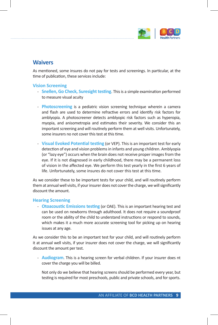

### **Waivers**

As mentioned, some insures do not pay for tests and screenings. In particular, at the time of publication, these services include:

### **Vision Screening**

- **Snellen, Go Check, Suresight testing**. This is a simple examination performed to measure visual acuity
- **Photoscreening** is a pediatric vision screening technique wherein a camera and flash are used to determine refractive errors and identify risk factors for amblyopia. A photoscreener detects amblyopic risk factors such as hyperopia, myopia, and anisometropia and estimates their severity. We consider this an important screening and will routinely perform them at well visits. Unfortunately, some insurers no not cover this test at this time.
- **Visual Evoked Potential testing** (or VEP). This is an important test for early detection of eye and vision problems in infants and young children. Amblyopia (or "lazy eye") occurs when the brain does not receive proper images from the eye. If it is not diagnosed in early childhood, there may be a permanent loss of vision in the affected eye. We perform this test yearly in the first 6 years of life. Unfortunately, some insures do not cover this test at this time.

As we consider these to be important tests for your child, and will routinely perform them at annual well visits, if your insurer does not cover the charge, we will significantly discount the amount.

### **Hearing Screening**

- **Otoacoustic Emissions testing** (or OAE). This is an important hearing test and can be used on newborns through adulthood. It does not require a soundproof room or the ability of the child to understand instructions or respond to sounds, which makes it a much more accurate screening tool for picking up on hearing issues at any age.

As we consider this to be an important test for your child, and will routinely perform it at annual well visits, if your insurer does not cover the charge, we will significantly discount the amount per test.

- **Audiogram**. This is a hearing screen for verbal children. If your insurer does nt cover the charge you will be billed.

Not only do we believe that hearing screens should be performed every year, but testing is required for most preschools, public and private schools, and for sports.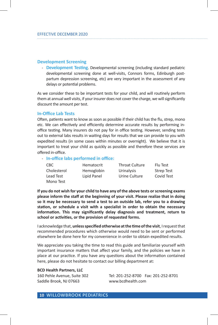### **Development Screening**

- **Development Testing**. Developmental screening (including standard pediatric developmental screening done at well-visits, Connors forms, Edinburgh postpartum depression screening, etc) are very important in the assessment of any delays or potential problems.

As we consider these to be important tests for your child, and will routinely perform them at annual well visits, if your insurer does not cover the charge, we will significantly discount the amount per test.

#### **In-Office Lab Tests**

Often, patients want to know as soon as possible if their child has the flu, strep, mono etc. We can effectively and efficiently determine accurate results by performing inoffice testing. Many insurers do not pay for in office testing. However, sending tests out to external labs results in waiting days for results that we can provide to you with expedited results (in some cases within minutes or overnight). We believe that it is important to treat your child as quickly as possible and therefore these services are offered in-office.

#### - **In-office labs performed in office:**

| CBC.        | Hematocrit  | <b>Throat Culture</b> | Flu Test          |
|-------------|-------------|-----------------------|-------------------|
| Cholesterol | Hemoglobin  | Urinalysis            | <b>Strep Test</b> |
| Lead Test   | Lipid Panel | Urine Culture         | Covid Test        |
| Mono Test   |             |                       |                   |

**If you do not wish for your child to have any of the above tests or screening exams please inform the staff at the beginning of your visit. Please realize that in doing so it may be necessary to send a test to an outside lab, refer you to a drawing station, or schedule a visit with a specialist in order to obtain the necessary information. This may significantly delay diagnosis and treatment, return to school or activities, or the provision of requested forms.**

I acknowledge that, **unless specified otherwise at the time of the visit**, I request that recommended procedures which otherwise would need to be sent or performed elsewhere be done here for my convenience in order to obtain expedited results.

We appreciate you taking the time to read this guide and familiarize yourself with important insurance matters that affect your family, and the policies we have in place at our practice. If you have any questions about the information contained here, please do not hesitate to contact our billing department at:

#### **BCD Health Partners, LLC**

Saddle Brook, NJ 07663 www.bcdhealth.com

160 Pehle Avenue, Suite 302 Tel: 201-252-8700 Fax: 201-252-8701

**10 WILLOWBROOK PEDIATRICS**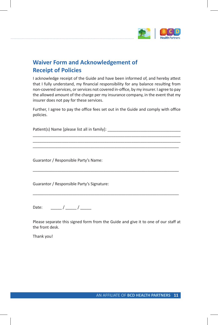

## **Waiver Form and Acknowledgement of Receipt of Policies**

I acknowledge receipt of the Guide and have been informed of, and hereby attest that I fully understand, my financial responsibility for any balance resulting from non-covered services, or services not covered in-office, by my insurer. I agree to pay the allowed amount of the charge per my insurance company, in the event that my insurer does not pay for these services.

Further, I agree to pay the office fees set out in the Guide and comply with office policies.

\_\_\_\_\_\_\_\_\_\_\_\_\_\_\_\_\_\_\_\_\_\_\_\_\_\_\_\_\_\_\_\_\_\_\_\_\_\_\_\_\_\_\_\_\_\_\_\_\_\_\_\_\_\_\_\_\_\_\_\_\_\_\_\_\_\_ \_\_\_\_\_\_\_\_\_\_\_\_\_\_\_\_\_\_\_\_\_\_\_\_\_\_\_\_\_\_\_\_\_\_\_\_\_\_\_\_\_\_\_\_\_\_\_\_\_\_\_\_\_\_\_\_\_\_\_\_\_\_\_\_\_\_ \_\_\_\_\_\_\_\_\_\_\_\_\_\_\_\_\_\_\_\_\_\_\_\_\_\_\_\_\_\_\_\_\_\_\_\_\_\_\_\_\_\_\_\_\_\_\_\_\_\_\_\_\_\_\_\_\_\_\_\_\_\_\_\_\_\_

\_\_\_\_\_\_\_\_\_\_\_\_\_\_\_\_\_\_\_\_\_\_\_\_\_\_\_\_\_\_\_\_\_\_\_\_\_\_\_\_\_\_\_\_\_\_\_\_\_\_\_\_\_\_\_\_\_\_\_\_\_\_\_\_\_\_

\_\_\_\_\_\_\_\_\_\_\_\_\_\_\_\_\_\_\_\_\_\_\_\_\_\_\_\_\_\_\_\_\_\_\_\_\_\_\_\_\_\_\_\_\_\_\_\_\_\_\_\_\_\_\_\_\_\_\_\_\_\_\_\_\_\_

Patient(s) Name [please list all in family]: \_\_\_\_\_\_\_\_\_\_\_\_\_\_\_\_\_\_\_\_\_\_\_\_\_\_\_\_\_\_\_\_\_\_\_

Guarantor / Responsible Party's Name:

Guarantor / Responsible Party's Signature:

Date:  $\qquad \qquad / \qquad /$ 

Please separate this signed form from the Guide and give it to one of our staff at the front desk.

Thank you!